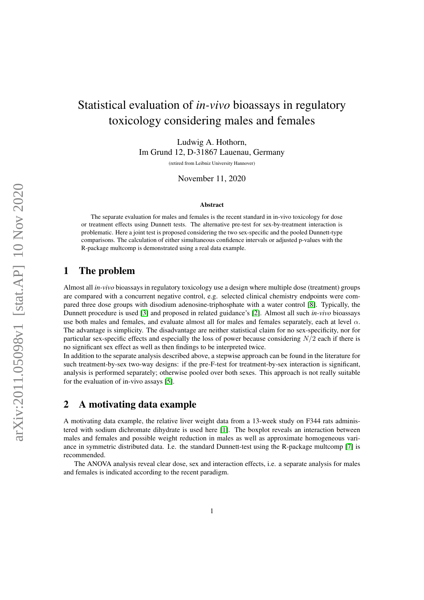# Statistical evaluation of *in-vivo* bioassays in regulatory toxicology considering males and females

Ludwig A. Hothorn, Im Grund 12, D-31867 Lauenau, Germany

(retired from Leibniz University Hannover)

November 11, 2020

#### Abstract

The separate evaluation for males and females is the recent standard in in-vivo toxicology for dose or treatment effects using Dunnett tests. The alternative pre-test for sex-by-treatment interaction is problematic. Here a joint test is proposed considering the two sex-specific and the pooled Dunnett-type comparisons. The calculation of either simultaneous confidence intervals or adjusted p-values with the R-package multcomp is demonstrated using a real data example.

### 1 The problem

Almost all *in-vivo* bioassays in regulatory toxicology use a design where multiple dose (treatment) groups are compared with a concurrent negative control, e.g. selected clinical chemistry endpoints were compared three dose groups with disodium adenosine-triphosphate with a water control [\[8\]](#page-3-0). Typically, the Dunnett procedure is used [\[3\]](#page-3-1) and proposed in related guidance's [\[2\]](#page-3-2). Almost all such *in-vivo* bioassays use both males and females, and evaluate almost all for males and females separately, each at level  $\alpha$ . The advantage is simplicity. The disadvantage are neither statistical claim for no sex-specificity, nor for particular sex-specific effects and especially the loss of power because considering  $N/2$  each if there is no significant sex effect as well as then findings to be interpreted twice.

In addition to the separate analysis described above, a stepwise approach can be found in the literature for such treatment-by-sex two-way designs: if the pre-F-test for treatment-by-sex interaction is significant, analysis is performed separately; otherwise pooled over both sexes. This approach is not really suitable for the evaluation of in-vivo assays [\[5\]](#page-3-3).

### 2 A motivating data example

A motivating data example, the relative liver weight data from a 13-week study on F344 rats administered with sodium dichromate dihydrate is used here [\[1\]](#page-3-4). The boxplot reveals an interaction between males and females and possible weight reduction in males as well as approximate homogeneous variance in symmetric distributed data. I.e. the standard Dunnett-test using the R-package multcomp [\[7\]](#page-3-5) is recommended.

The ANOVA analysis reveal clear dose, sex and interaction effects, i.e. a separate analysis for males and females is indicated according to the recent paradigm.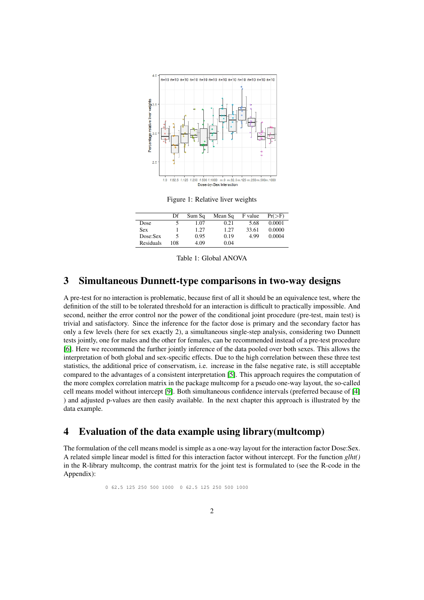

Figure 1: Relative liver weights

|           | Df  | Sum Sq | Mean Sq | F value | $Pr(>=F)$ |
|-----------|-----|--------|---------|---------|-----------|
| Dose      |     | 1.07   | 0.21    | 5.68    | 0.0001    |
| Sex       |     | 1.27   | 1.27    | 33.61   | 0.0000    |
| Dose:Sex  |     | 0.95   | 0.19    | 4.99    | 0.0004    |
| Residuals | 108 | 4.09   | 0.04    |         |           |

Table 1: Global ANOVA

### 3 Simultaneous Dunnett-type comparisons in two-way designs

A pre-test for no interaction is problematic, because first of all it should be an equivalence test, where the definition of the still to be tolerated threshold for an interaction is difficult to practically impossible. And second, neither the error control nor the power of the conditional joint procedure (pre-test, main test) is trivial and satisfactory. Since the inference for the factor dose is primary and the secondary factor has only a few levels (here for sex exactly 2), a simultaneous single-step analysis, considering two Dunnett tests jointly, one for males and the other for females, can be recommended instead of a pre-test procedure [\[6\]](#page-3-6). Here we recommend the further jointly inference of the data pooled over both sexes. This allows the interpretation of both global and sex-specific effects. Due to the high correlation between these three test statistics, the additional price of conservatism, i.e. increase in the false negative rate, is still acceptable compared to the advantages of a consistent interpretation [\[5\]](#page-3-3). This approach requires the computation of the more complex correlation matrix in the package multcomp for a pseudo one-way layout, the so-called cell means model without intercept [\[9\]](#page-3-7). Both simultaneous confidence intervals (preferred because of [\[4\]](#page-3-8) ) and adjusted p-values are then easily available. In the next chapter this approach is illustrated by the data example.

#### 4 Evaluation of the data example using library(multcomp)

The formulation of the cell means model is simple as a one-way layout for the interaction factor Dose:Sex. A related simple linear model is fitted for this interaction factor without intercept. For the function *glht()* in the R-library multcomp, the contrast matrix for the joint test is formulated to (see the R-code in the Appendix):

0 62.5 125 250 500 1000 0 62.5 125 250 500 1000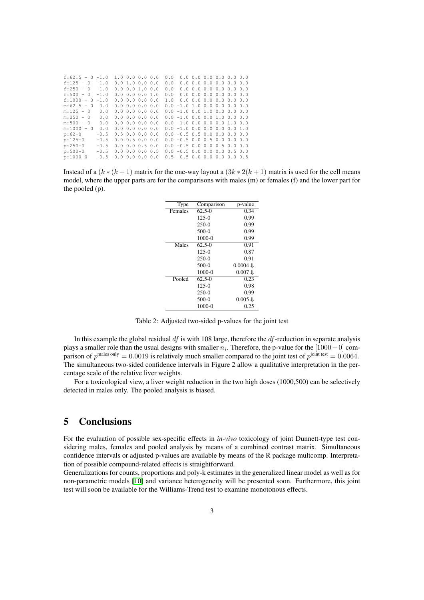| $f:62.5 - 0 -1.0$ |        | 1.00.00.000.0           |  | 0.0 |                                 |  | $0.0$ 0.0 0.0 0.0 0.0 0.0           |  |
|-------------------|--------|-------------------------|--|-----|---------------------------------|--|-------------------------------------|--|
| $f:125 - 0$       | $-1.0$ | 0.01.00.00.0            |  | 0.0 |                                 |  | $0.0$ $0.0$ $0.0$ $0.0$ $0.0$ $0.0$ |  |
| $f:250 - 0$       | $-1.0$ | $0.0$ $0.0$ $1.0$ $0.0$ |  | 0.0 |                                 |  | $0.0$ $0.0$ $0.0$ $0.0$ $0.0$ $0.0$ |  |
| $f:500 - 0$       | $-1.0$ | $0.0$ $0.0$ $0.0$ $1.0$ |  | 0.0 |                                 |  | $0.0$ $0.0$ $0.0$ $0.0$ $0.0$ $0.0$ |  |
| $f:1000 - 0$      | $-1.0$ | 0.0 0.0 0.0 0.0         |  | 1.0 |                                 |  | $0.0$ 0.0 0.0 0.0 0.0 0.0           |  |
| $m:62.5 - 0$      | 0.0    | 0.00.00.00.0            |  |     | $0.0 - 1.0 1.0 0.0 0.0 0.0 0.0$ |  |                                     |  |
| $m:125 - 0$       | 0.0    | $0.0$ $0.0$ $0.0$ $0.0$ |  |     | $0.0 - 1.0 0.0 1.0 0.0 0.0 0.0$ |  |                                     |  |
| $m:250 - 0$       | 0.0    | 0.00.00.00.0            |  |     | $0.0 - 1.0 0.0 0.0 1.0 0.0 0.0$ |  |                                     |  |
| $m:500 - 0$       | 0.0    | $0.0$ $0.0$ $0.0$ $0.0$ |  |     | $0.0 - 1.0 0.0 0.0 0.0 1.0 0.0$ |  |                                     |  |
| $m:1000 - 0$      | 0.0    | $0.0$ $0.0$ $0.0$ $0.0$ |  |     | $0.0 - 1.0 0.0 0.0 0.0 0.0 1.0$ |  |                                     |  |
| $p:62-0$          | $-0.5$ | 0.50.00.00.0            |  |     | $0.0 - 0.5 0.5 0.0 0.0 0.0 0.0$ |  |                                     |  |
| $p:125-0$         | $-0.5$ | $0.0$ $0.5$ $0.0$ $0.0$ |  |     | $0.0 - 0.5 0.0 0.5 0.0 0.0 0.0$ |  |                                     |  |
| $p:250-0$         | $-0.5$ | $0.0$ $0.0$ $0.5$ $0.0$ |  |     | $0.0 - 0.5 0.0 0.0 0.5 0.0 0.0$ |  |                                     |  |
| $p:500-0$         | $-0.5$ | $0.0$ $0.0$ $0.0$ $0.5$ |  |     | $0.0 - 0.5 0.0 0.0 0.0 0.5 0.0$ |  |                                     |  |
| $p:1000-0$        | $-0.5$ | $0.0$ $0.0$ $0.0$ $0.0$ |  |     | $0.5 - 0.5 0.0 0.0 0.0 0.0 0.5$ |  |                                     |  |
|                   |        |                         |  |     |                                 |  |                                     |  |

Instead of a  $(k*(k+1)$  matrix for the one-way layout a  $(3k*2(k+1)$  matrix is used for the cell means model, where the upper parts are for the comparisons with males (m) or females (f) and the lower part for the pooled (p).

| Type    | Comparison | p-value             |  |  |
|---------|------------|---------------------|--|--|
| Females | $62.5 - 0$ | 0.34                |  |  |
|         | $125-0$    | 0.99                |  |  |
|         | $250-0$    | 0.99                |  |  |
|         | $500-0$    | 0.99                |  |  |
|         | 1000-0     | 0.99                |  |  |
| Males   | $62.5 - 0$ | 0.91                |  |  |
|         | $125-0$    | 0.87                |  |  |
|         | $250-0$    | 0.91                |  |  |
|         | $500-0$    | $0.0004 \downarrow$ |  |  |
|         | $1000 - 0$ | $0.007 \downarrow$  |  |  |
| Pooled  | $62.5 - 0$ | 0.23                |  |  |
|         | 125-0      | 0.98                |  |  |
|         | $250-0$    | 0.99                |  |  |
|         | $500-0$    | $0.005 \Downarrow$  |  |  |
|         | 1000-0     | 0.25                |  |  |

Table 2: Adjusted two-sided p-values for the joint test

In this example the global residual  $df$  is with 108 large, therefore the  $df$ -reduction in separate analysis plays a smaller role than the usual designs with smaller  $n_i$ . Therefore, the p-value for the  $[1000-0]$  comparison of  $p^{\text{males only}} = 0.0019$  is relatively much smaller compared to the joint test of  $p^{\text{joint test}} = 0.0064$ . The simultaneous two-sided confidence intervals in Figure 2 allow a qualitative interpretation in the percentage scale of the relative liver weights.

For a toxicological view, a liver weight reduction in the two high doses (1000,500) can be selectively detected in males only. The pooled analysis is biased.

#### 5 Conclusions

For the evaluation of possible sex-specific effects in *in-vivo* toxicology of joint Dunnett-type test considering males, females and pooled analysis by means of a combined contrast matrix. Simultaneous confidence intervals or adjusted p-values are available by means of the R package multcomp. Interpretation of possible compound-related effects is straightforward.

Generalizations for counts, proportions and poly-k estimates in the generalized linear model as well as for non-parametric models [\[10\]](#page-3-9) and variance heterogeneity will be presented soon. Furthermore, this joint test will soon be available for the Williams-Trend test to examine monotonous effects.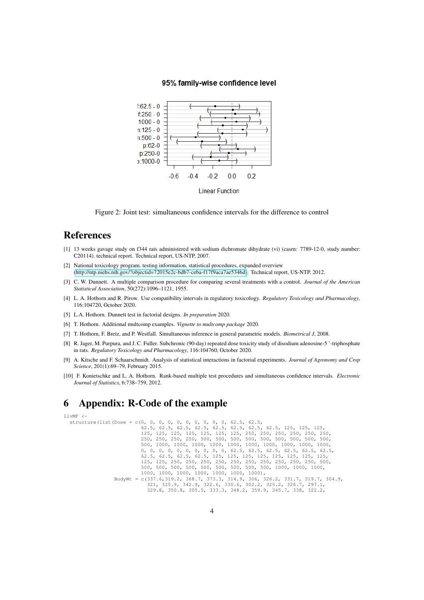#### 95% family-wise confidence level



Figure 2: Joint test: simultaneous confidence intervals for the difference to control

#### References

- <span id="page-3-4"></span>[1] 13 weeks gavage study on f344 rats administered with sodium dichromate dihydrate (vi) (casrn: 7789-12-0, study number: C20114). technical report. Technical report, US-NTP, 2007.
- <span id="page-3-2"></span>[2] National toxicology program. testing information, statistical procedures, expanded overview [\(http://ntp.niehs.nih.gov/?objectid=72015e2c-bdb7-ceba-f17f9aca7ae5346d\)](http://ntp.niehs.nih.gov/?objectid=72015e2c-bdb7-ceba-f17f9aca7ae5346d). Technical report, US-NTP, 2012.
- <span id="page-3-1"></span>[3] C. W. Dunnett. A multiple comparison procedure for comparing several treatments with a control. *Journal of the American Statistical Association*, 50(272):1096–1121, 1955.
- <span id="page-3-8"></span>[4] L. A. Hothorn and R. Pirow. Use compatibility intervals in regulatory toxicology. *Regulatory Toxicology and Pharmacology*, 116:104720, October 2020.
- <span id="page-3-3"></span>[5] L.A. Hothorn. Dunnett test in factorial designs. *In preparation* 2020.
- <span id="page-3-6"></span>[6] T. Hothorn. Additional multcomp examples. *Vignette to multcomp package* 2020.
- <span id="page-3-5"></span>[7] T. Hothorn, F. Bretz, and P. Westfall. Simultaneous inference in general parametric models. *Biometrical J*, 2008.
- <span id="page-3-0"></span>[8] R. Jager, M. Purpura, and J. C. Fuller. Subchronic (90-day) repeated dose toxicity study of disodium adenosine-5 '-triphosphate in rats. *Regulatory Toxicology and Pharmacology*, 116:104760, October 2020.
- <span id="page-3-7"></span>[9] A. Kitsche and F. Schaarschmidt. Analysis of statistical interactions in factorial experiments. *Journal of Agronomy and Crop Science*, 201(1):69–79, February 2015.
- <span id="page-3-9"></span>[10] F. Konietschke and L. A. Hothorn. Rank-based multiple test procedures and simultaneous confidence intervals. *Electronic Journal of Statistics*, 6:738–759, 2012.

## 6 Appendix: R-Code of the example

#### livMF <-

structure(list(Dose = c(0, 0, 0, 0, 0, 0, 0, 0, 0, 62.5, 62.5, 62.5, 62.5, 62.5, 62.5, 62.5, 62.5, 62.5, 62.5, 125, 125, 125, 125, 125, 125, 125, 125, 125, 125, 250, 250, 250, 250, 250, 250, 250, 250, 250, 250, 500, 500, 500, 500, 500, 500, 500, 500, 500, 500, 1000, 1000, 1000, 1000, 1000, 1000, 1000, 1000, 1000, 1000, 0, 0, 0, 0, 0, 0, 0, 0, 0, 0, 62.5, 62.5, 62.5, 62.5, 62.5, 62.5, 62.5, 62.5, 62.5, 62.5, 125, 125, 125, 125, 125, 125, 125, 125, 125, 125, 250, 250, 250, 250, 250, 250, 250, 250, 250, 250, 500, 500, 500, 500, 500, 500, 500, 500, 500, 500, 1000, 1000, 1000,  $1000$ , 1000, 1000, 1000, 1000, 1000, 1000, 000),<br> $BodyWt = c(337.6, 319.2, 368.7, 373.3, 314.9, 306, 326.2, 331.7, 319.7, 304.9, 321.325.9, 342.9, 325.2, 326.7, 297.1, 325.9, 329.8, 350.8, 305.5, 333.3, 348.2, 359.9, 345.7, 3$